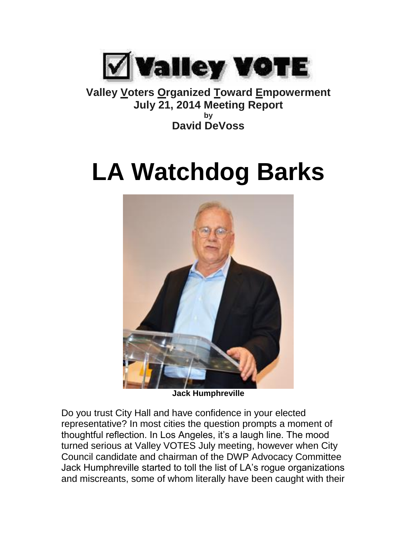

**Valley Voters Organized Toward Empowerment July 21, 2014 Meeting Report by David DeVoss**

## **LA Watchdog Barks**



**Jack Humphreville**

Do you trust City Hall and have confidence in your elected representative? In most cities the question prompts a moment of thoughtful reflection. In Los Angeles, it's a laugh line. The mood turned serious at Valley VOTES July meeting, however when City Council candidate and chairman of the DWP Advocacy Committee Jack Humphreville started to toll the list of LA's rogue organizations and miscreants, some of whom literally have been caught with their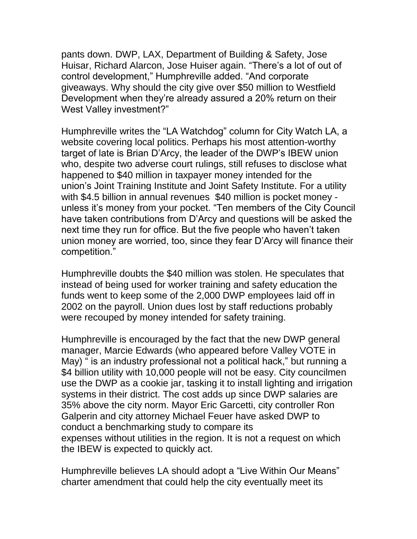pants down. DWP, LAX, Department of Building & Safety, Jose Huisar, Richard Alarcon, Jose Huiser again. "There's a lot of out of control development," Humphreville added. "And corporate giveaways. Why should the city give over \$50 million to Westfield Development when they're already assured a 20% return on their West Valley investment?"

Humphreville writes the "LA Watchdog" column for City Watch LA, a website covering local politics. Perhaps his most attention-worthy target of late is Brian D'Arcy, the leader of the DWP's IBEW union who, despite two adverse court rulings, still refuses to disclose what happened to \$40 million in taxpayer money intended for the union's Joint Training Institute and Joint Safety Institute. For a utility with \$4.5 billion in annual revenues \$40 million is pocket money unless it's money from your pocket. "Ten members of the City Council have taken contributions from D'Arcy and questions will be asked the next time they run for office. But the five people who haven't taken union money are worried, too, since they fear D'Arcy will finance their competition."

Humphreville doubts the \$40 million was stolen. He speculates that instead of being used for worker training and safety education the funds went to keep some of the 2,000 DWP employees laid off in 2002 on the payroll. Union dues lost by staff reductions probably were recouped by money intended for safety training.

Humphreville is encouraged by the fact that the new DWP general manager, Marcie Edwards (who appeared before Valley VOTE in May) " is an industry professional not a political hack," but running a \$4 billion utility with 10,000 people will not be easy. City councilmen use the DWP as a cookie jar, tasking it to install lighting and irrigation systems in their district. The cost adds up since DWP salaries are 35% above the city norm. Mayor Eric Garcetti, city controller Ron Galperin and city attorney Michael Feuer have asked DWP to conduct a benchmarking study to compare its expenses without utilities in the region. It is not a request on which the IBEW is expected to quickly act.

Humphreville believes LA should adopt a "Live Within Our Means" charter amendment that could help the city eventually meet its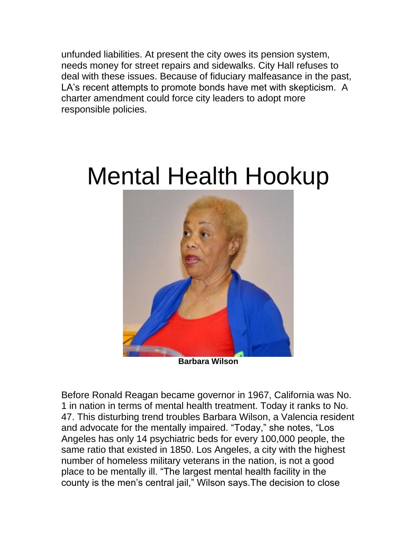unfunded liabilities. At present the city owes its pension system, needs money for street repairs and sidewalks. City Hall refuses to deal with these issues. Because of fiduciary malfeasance in the past, LA's recent attempts to promote bonds have met with skepticism. A charter amendment could force city leaders to adopt more responsible policies.

## Mental Health Hookup



Before Ronald Reagan became governor in 1967, California was No. 1 in nation in terms of mental health treatment. Today it ranks to No. 47. This disturbing trend troubles Barbara Wilson, a Valencia resident and advocate for the mentally impaired. "Today," she notes, "Los Angeles has only 14 psychiatric beds for every 100,000 people, the same ratio that existed in 1850. Los Angeles, a city with the highest number of homeless military veterans in the nation, is not a good place to be mentally ill. "The largest mental health facility in the county is the men's central jail," Wilson says.The decision to close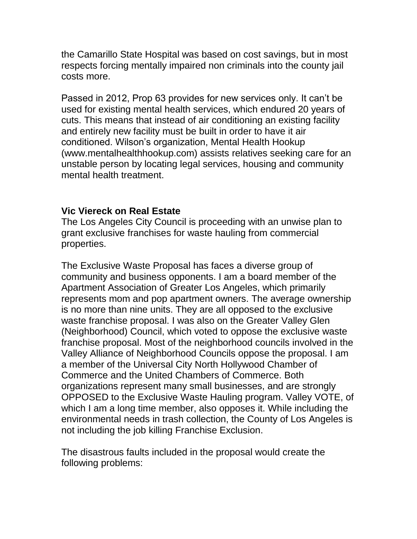the Camarillo State Hospital was based on cost savings, but in most respects forcing mentally impaired non criminals into the county jail costs more.

Passed in 2012, Prop 63 provides for new services only. It can't be used for existing mental health services, which endured 20 years of cuts. This means that instead of air conditioning an existing facility and entirely new facility must be built in order to have it air conditioned. Wilson's organization, Mental Health Hookup (www.mentalhealthhookup.com) assists relatives seeking care for an unstable person by locating legal services, housing and community mental health treatment.

## **Vic Viereck on Real Estate**

The Los Angeles City Council is proceeding with an unwise plan to grant exclusive franchises for waste hauling from commercial properties.

The Exclusive Waste Proposal has faces a diverse group of community and business opponents. I am a board member of the Apartment Association of Greater Los Angeles, which primarily represents mom and pop apartment owners. The average ownership is no more than nine units. They are all opposed to the exclusive waste franchise proposal. I was also on the Greater Valley Glen (Neighborhood) Council, which voted to oppose the exclusive waste franchise proposal. Most of the neighborhood councils involved in the Valley Alliance of Neighborhood Councils oppose the proposal. I am a member of the Universal City North Hollywood Chamber of Commerce and the United Chambers of Commerce. Both organizations represent many small businesses, and are strongly OPPOSED to the Exclusive Waste Hauling program. Valley VOTE, of which I am a long time member, also opposes it. While including the environmental needs in trash collection, the County of Los Angeles is not including the job killing Franchise Exclusion.

The disastrous faults included in the proposal would create the following problems: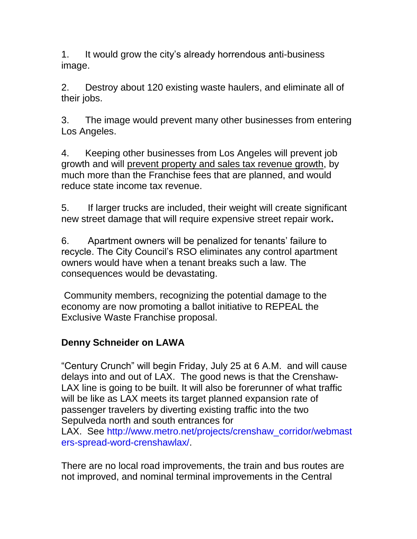1. It would grow the city's already horrendous anti-business image.

2. Destroy about 120 existing waste haulers, and eliminate all of their jobs.

3. The image would prevent many other businesses from entering Los Angeles.

4. Keeping other businesses from Los Angeles will prevent job growth and will prevent property and sales tax revenue growth, by much more than the Franchise fees that are planned, and would reduce state income tax revenue.

5. If larger trucks are included, their weight will create significant new street damage that will require expensive street repair work**.**

6. Apartment owners will be penalized for tenants' failure to recycle. The City Council's RSO eliminates any control apartment owners would have when a tenant breaks such a law. The consequences would be devastating.

Community members, recognizing the potential damage to the economy are now promoting a ballot initiative to REPEAL the Exclusive Waste Franchise proposal.

## **Denny Schneider on LAWA**

"Century Crunch" will begin Friday, July 25 at 6 A.M. and will cause delays into and out of LAX. The good news is that the Crenshaw-LAX line is going to be built. It will also be forerunner of what traffic will be like as LAX meets its target planned expansion rate of passenger travelers by diverting existing traffic into the two Sepulveda north and south entrances for

LAX. See [http://www.metro.net/projects/crenshaw\\_corridor/webmast](http://www.metro.net/projects/crenshaw_corridor/webmasters-spread-word-crenshawlax/) [ers-spread-word-crenshawlax/.](http://www.metro.net/projects/crenshaw_corridor/webmasters-spread-word-crenshawlax/)

There are no local road improvements, the train and bus routes are not improved, and nominal terminal improvements in the Central